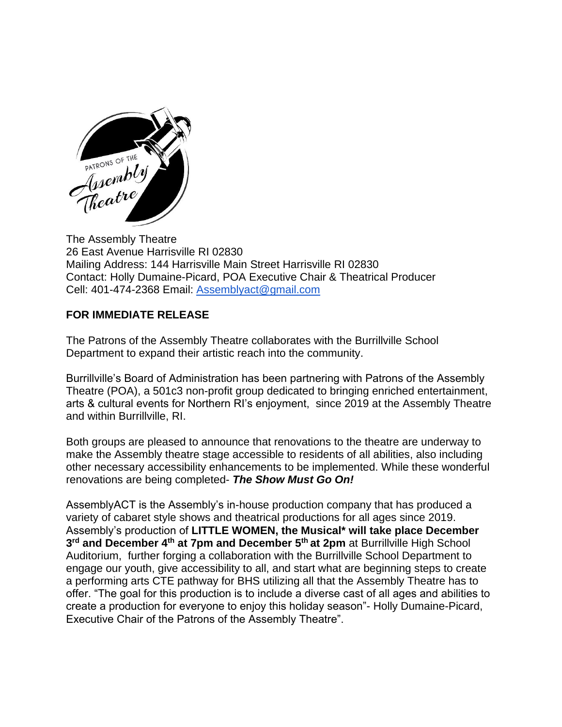

The Assembly Theatre 26 East Avenue Harrisville RI 02830 Mailing Address: 144 Harrisville Main Street Harrisville RI 02830 Contact: Holly Dumaine-Picard, POA Executive Chair & Theatrical Producer Cell: 401-474-2368 Email: [Assemblyact@gmail.com](mailto:Assemblyact@gmail.com)

## **FOR IMMEDIATE RELEASE**

The Patrons of the Assembly Theatre collaborates with the Burrillville School Department to expand their artistic reach into the community.

Burrillville's Board of Administration has been partnering with Patrons of the Assembly Theatre (POA), a 501c3 non-profit group dedicated to bringing enriched entertainment, arts & cultural events for Northern RI's enjoyment, since 2019 at the Assembly Theatre and within Burrillville, RI.

Both groups are pleased to announce that renovations to the theatre are underway to make the Assembly theatre stage accessible to residents of all abilities, also including other necessary accessibility enhancements to be implemented. While these wonderful renovations are being completed- *The Show Must Go On!*

AssemblyACT is the Assembly's in-house production company that has produced a variety of cabaret style shows and theatrical productions for all ages since 2019. Assembly's production of **LITTLE WOMEN, the Musical\* will take place December 3 rd and December 4th at 7pm and December 5th at 2pm** at Burrillville High School Auditorium, further forging a collaboration with the Burrillville School Department to engage our youth, give accessibility to all, and start what are beginning steps to create a performing arts CTE pathway for BHS utilizing all that the Assembly Theatre has to offer. "The goal for this production is to include a diverse cast of all ages and abilities to create a production for everyone to enjoy this holiday season"- Holly Dumaine-Picard, Executive Chair of the Patrons of the Assembly Theatre".